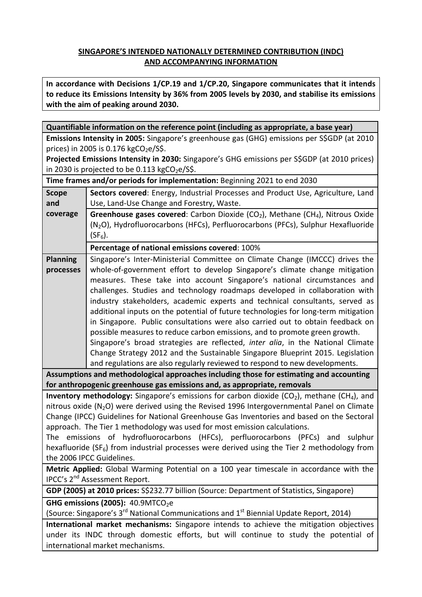# **SINGAPORE'S INTENDED NATIONALLY DETERMINED CONTRIBUTION (INDC) AND ACCOMPANYING INFORMATION**

**In accordance with Decisions 1/CP.19 and 1/CP.20, Singapore communicates that it intends to reduce its Emissions Intensity by 36% from 2005 levels by 2030, and stabilise its emissions with the aim of peaking around 2030.**

| Quantifiable information on the reference point (including as appropriate, a base year)                                                                                              |                                                                                                        |
|--------------------------------------------------------------------------------------------------------------------------------------------------------------------------------------|--------------------------------------------------------------------------------------------------------|
| Emissions Intensity in 2005: Singapore's greenhouse gas (GHG) emissions per S\$GDP (at 2010                                                                                          |                                                                                                        |
| prices) in 2005 is 0.176 kgCO <sub>2</sub> e/S\$.                                                                                                                                    |                                                                                                        |
| Projected Emissions Intensity in 2030: Singapore's GHG emissions per S\$GDP (at 2010 prices)                                                                                         |                                                                                                        |
| in 2030 is projected to be 0.113 kgCO <sub>2</sub> e/S\$.                                                                                                                            |                                                                                                        |
| Time frames and/or periods for implementation: Beginning 2021 to end 2030                                                                                                            |                                                                                                        |
| <b>Scope</b>                                                                                                                                                                         | Sectors covered: Energy, Industrial Processes and Product Use, Agriculture, Land                       |
| and                                                                                                                                                                                  | Use, Land-Use Change and Forestry, Waste.                                                              |
| coverage                                                                                                                                                                             | Greenhouse gases covered: Carbon Dioxide (CO <sub>2</sub> ), Methane (CH <sub>4</sub> ), Nitrous Oxide |
|                                                                                                                                                                                      | (N <sub>2</sub> O), Hydrofluorocarbons (HFCs), Perfluorocarbons (PFCs), Sulphur Hexafluoride           |
|                                                                                                                                                                                      | $(SF_6).$                                                                                              |
|                                                                                                                                                                                      | Percentage of national emissions covered: 100%                                                         |
| <b>Planning</b>                                                                                                                                                                      | Singapore's Inter-Ministerial Committee on Climate Change (IMCCC) drives the                           |
| processes                                                                                                                                                                            | whole-of-government effort to develop Singapore's climate change mitigation                            |
|                                                                                                                                                                                      | measures. These take into account Singapore's national circumstances and                               |
|                                                                                                                                                                                      | challenges. Studies and technology roadmaps developed in collaboration with                            |
|                                                                                                                                                                                      | industry stakeholders, academic experts and technical consultants, served as                           |
|                                                                                                                                                                                      | additional inputs on the potential of future technologies for long-term mitigation                     |
|                                                                                                                                                                                      | in Singapore. Public consultations were also carried out to obtain feedback on                         |
|                                                                                                                                                                                      | possible measures to reduce carbon emissions, and to promote green growth.                             |
|                                                                                                                                                                                      | Singapore's broad strategies are reflected, inter alia, in the National Climate                        |
|                                                                                                                                                                                      | Change Strategy 2012 and the Sustainable Singapore Blueprint 2015. Legislation                         |
|                                                                                                                                                                                      | and regulations are also regularly reviewed to respond to new developments.                            |
| Assumptions and methodological approaches including those for estimating and accounting                                                                                              |                                                                                                        |
| for anthropogenic greenhouse gas emissions and, as appropriate, removals<br><b>Inventory methodology:</b> Singapore's emissions for carbon dioxide ( $CO2$ ), methane ( $CH4$ ), and |                                                                                                        |
| nitrous oxide (N <sub>2</sub> O) were derived using the Revised 1996 Intergovernmental Panel on Climate                                                                              |                                                                                                        |
| Change (IPCC) Guidelines for National Greenhouse Gas Inventories and based on the Sectoral                                                                                           |                                                                                                        |
| approach. The Tier 1 methodology was used for most emission calculations.                                                                                                            |                                                                                                        |
| The emissions of hydrofluorocarbons (HFCs), perfluorocarbons (PFCs) and sulphur                                                                                                      |                                                                                                        |
| hexafluoride ( $SF6$ ) from industrial processes were derived using the Tier 2 methodology from                                                                                      |                                                                                                        |
| the 2006 IPCC Guidelines.                                                                                                                                                            |                                                                                                        |
| Metric Applied: Global Warming Potential on a 100 year timescale in accordance with the                                                                                              |                                                                                                        |
| IPCC's 2 <sup>nd</sup> Assessment Report.                                                                                                                                            |                                                                                                        |
| GDP (2005) at 2010 prices: S\$232.77 billion (Source: Department of Statistics, Singapore)                                                                                           |                                                                                                        |
| GHG emissions (2005): 40.9MTCO <sub>2</sub> e                                                                                                                                        |                                                                                                        |
| (Source: Singapore's 3 <sup>rd</sup> National Communications and 1 <sup>st</sup> Biennial Update Report, 2014)                                                                       |                                                                                                        |
| International market mechanisms: Singapore intends to achieve the mitigation objectives                                                                                              |                                                                                                        |
| under its INDC through domestic efforts, but will continue to study the potential of                                                                                                 |                                                                                                        |
| international market mechanisms.                                                                                                                                                     |                                                                                                        |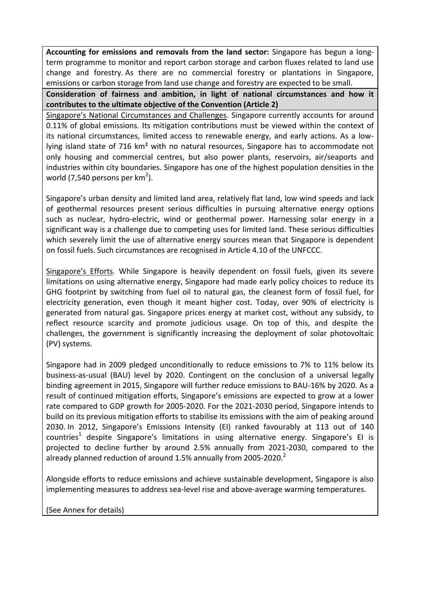**Accounting for emissions and removals from the land sector:** Singapore has begun a longterm programme to monitor and report carbon storage and carbon fluxes related to land use change and forestry. As there are no commercial forestry or plantations in Singapore, emissions or carbon storage from land use change and forestry are expected to be small.

**Consideration of fairness and ambition, in light of national circumstances and how it contributes to the ultimate objective of the Convention (Article 2)**

Singapore's National Circumstances and Challenges. Singapore currently accounts for around 0.11% of global emissions. Its mitigation contributions must be viewed within the context of its national circumstances, limited access to renewable energy, and early actions. As a lowlying island state of 716 km² with no natural resources, Singapore has to accommodate not only housing and commercial centres, but also power plants, reservoirs, air/seaports and industries within city boundaries. Singapore has one of the highest population densities in the world (7,540 persons per  $km^2$ ).

Singapore's urban density and limited land area, relatively flat land, low wind speeds and lack of geothermal resources present serious difficulties in pursuing alternative energy options such as nuclear, hydro-electric, wind or geothermal power. Harnessing solar energy in a significant way is a challenge due to competing uses for limited land. These serious difficulties which severely limit the use of alternative energy sources mean that Singapore is dependent on fossil fuels. Such circumstances are recognised in Article 4.10 of the UNFCCC.

Singapore's Efforts. While Singapore is heavily dependent on fossil fuels, given its severe limitations on using alternative energy, Singapore had made early policy choices to reduce its GHG footprint by switching from fuel oil to natural gas, the cleanest form of fossil fuel, for electricity generation, even though it meant higher cost. Today, over 90% of electricity is generated from natural gas. Singapore prices energy at market cost, without any subsidy, to reflect resource scarcity and promote judicious usage. On top of this, and despite the challenges, the government is significantly increasing the deployment of solar photovoltaic (PV) systems.

Singapore had in 2009 pledged unconditionally to reduce emissions to 7% to 11% below its business-as-usual (BAU) level by 2020. Contingent on the conclusion of a universal legally binding agreement in 2015, Singapore will further reduce emissions to BAU-16% by 2020. As a result of continued mitigation efforts, Singapore's emissions are expected to grow at a lower rate compared to GDP growth for 2005-2020. For the 2021-2030 period, Singapore intends to build on its previous mitigation efforts to stabilise its emissions with the aim of peaking around 2030. In 2012, Singapore's Emissions Intensity (EI) ranked favourably at 113 out of 140 countries<sup>1</sup> despite Singapore's limitations in using alternative energy. Singapore's EI is projected to decline further by around 2.5% annually from 2021-2030, compared to the already planned reduction of around 1.5% annually from 2005-2020. $^2$ 

Alongside efforts to reduce emissions and achieve sustainable development, Singapore is also implementing measures to address sea-level rise and above-average warming temperatures.

(See Annex for details)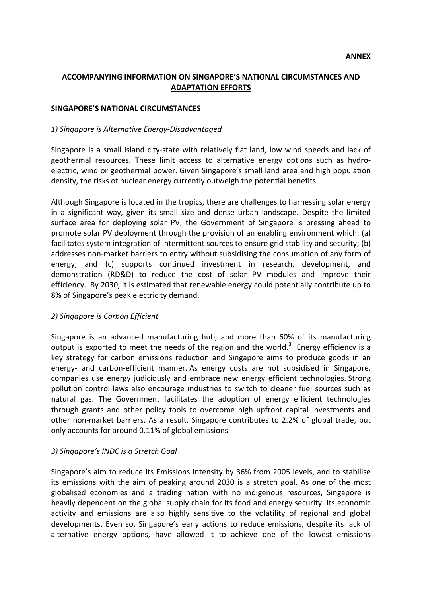## **ACCOMPANYING INFORMATION ON SINGAPORE'S NATIONAL CIRCUMSTANCES AND ADAPTATION EFFORTS**

#### **SINGAPORE'S NATIONAL CIRCUMSTANCES**

#### *1) Singapore is Alternative Energy-Disadvantaged*

Singapore is a small island city-state with relatively flat land, low wind speeds and lack of geothermal resources. These limit access to alternative energy options such as hydroelectric, wind or geothermal power. Given Singapore's small land area and high population density, the risks of nuclear energy currently outweigh the potential benefits.

Although Singapore is located in the tropics, there are challenges to harnessing solar energy in a significant way, given its small size and dense urban landscape. Despite the limited surface area for deploying solar PV, the Government of Singapore is pressing ahead to promote solar PV deployment through the provision of an enabling environment which: (a) facilitates system integration of intermittent sources to ensure grid stability and security; (b) addresses non-market barriers to entry without subsidising the consumption of any form of energy; and (c) supports continued investment in research, development, and demonstration (RD&D) to reduce the cost of solar PV modules and improve their efficiency. By 2030, it is estimated that renewable energy could potentially contribute up to 8% of Singapore's peak electricity demand.

#### *2) Singapore is Carbon Efficient*

Singapore is an advanced manufacturing hub, and more than 60% of its manufacturing output is exported to meet the needs of the region and the world. $3$  Energy efficiency is a key strategy for carbon emissions reduction and Singapore aims to produce goods in an energy- and carbon-efficient manner. As energy costs are not subsidised in Singapore, companies use energy judiciously and embrace new energy efficient technologies. Strong pollution control laws also encourage industries to switch to cleaner fuel sources such as natural gas. The Government facilitates the adoption of energy efficient technologies through grants and other policy tools to overcome high upfront capital investments and other non-market barriers. As a result, Singapore contributes to 2.2% of global trade, but only accounts for around 0.11% of global emissions.

#### *3) Singapore's INDC is a Stretch Goal*

Singapore's aim to reduce its Emissions Intensity by 36% from 2005 levels, and to stabilise its emissions with the aim of peaking around 2030 is a stretch goal. As one of the most globalised economies and a trading nation with no indigenous resources, Singapore is heavily dependent on the global supply chain for its food and energy security. Its economic activity and emissions are also highly sensitive to the volatility of regional and global developments. Even so, Singapore's early actions to reduce emissions, despite its lack of alternative energy options, have allowed it to achieve one of the lowest emissions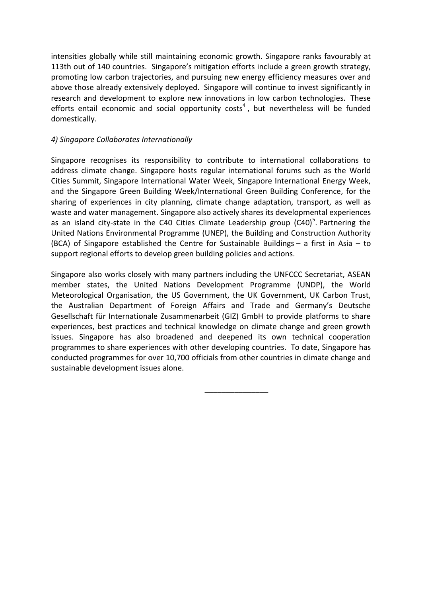intensities globally while still maintaining economic growth. Singapore ranks favourably at 113th out of 140 countries. Singapore's mitigation efforts include a green growth strategy, promoting low carbon trajectories, and pursuing new energy efficiency measures over and above those already extensively deployed. Singapore will continue to invest significantly in research and development to explore new innovations in low carbon technologies. These efforts entail economic and social opportunity costs<sup>4</sup>, but nevertheless will be funded domestically.

### *4) Singapore Collaborates Internationally*

Singapore recognises its responsibility to contribute to international collaborations to address climate change. Singapore hosts regular international forums such as the World Cities Summit, Singapore International Water Week, Singapore International Energy Week, and the Singapore Green Building Week/International Green Building Conference, for the sharing of experiences in city planning, climate change adaptation, transport, as well as waste and water management. Singapore also actively shares its developmental experiences as an island city-state in the C40 Cities Climate Leadership group  $(C40)^5$ . Partnering the United Nations Environmental Programme (UNEP), the Building and Construction Authority (BCA) of Singapore established the Centre for Sustainable Buildings – a first in Asia – to support regional efforts to develop green building policies and actions.

Singapore also works closely with many partners including the UNFCCC Secretariat, ASEAN member states, the United Nations Development Programme (UNDP), the World Meteorological Organisation, the US Government, the UK Government, UK Carbon Trust, the Australian Department of Foreign Affairs and Trade and Germany's Deutsche Gesellschaft für Internationale Zusammenarbeit (GIZ) GmbH to provide platforms to share experiences, best practices and technical knowledge on climate change and green growth issues. Singapore has also broadened and deepened its own technical cooperation programmes to share experiences with other developing countries. To date, Singapore has conducted programmes for over 10,700 officials from other countries in climate change and sustainable development issues alone.

\_\_\_\_\_\_\_\_\_\_\_\_\_\_\_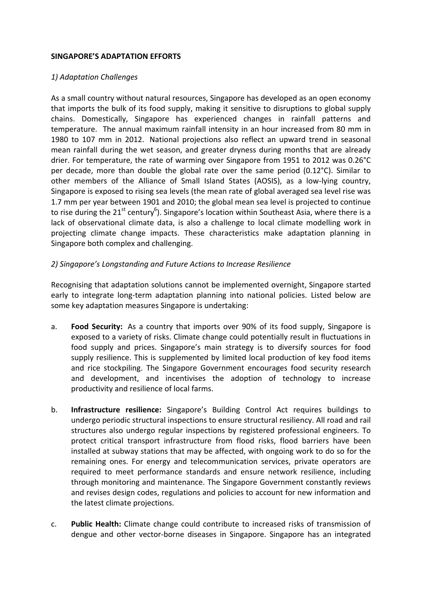### **SINGAPORE'S ADAPTATION EFFORTS**

## *1) Adaptation Challenges*

As a small country without natural resources, Singapore has developed as an open economy that imports the bulk of its food supply, making it sensitive to disruptions to global supply chains. Domestically, Singapore has experienced changes in rainfall patterns and temperature. The annual maximum rainfall intensity in an hour increased from 80 mm in 1980 to 107 mm in 2012. National projections also reflect an upward trend in seasonal mean rainfall during the wet season, and greater dryness during months that are already drier. For temperature, the rate of warming over Singapore from 1951 to 2012 was 0.26°C per decade, more than double the global rate over the same period (0.12°C). Similar to other members of the Alliance of Small Island States (AOSIS), as a low-lying country, Singapore is exposed to rising sea levels (the mean rate of global averaged sea level rise was 1.7 mm per year between 1901 and 2010; the global mean sea level is projected to continue to rise during the 21<sup>st</sup> century<sup>6</sup>). Singapore's location within Southeast Asia, where there is a lack of observational climate data, is also a challenge to local climate modelling work in projecting climate change impacts. These characteristics make adaptation planning in Singapore both complex and challenging.

### *2) Singapore's Longstanding and Future Actions to Increase Resilience*

Recognising that adaptation solutions cannot be implemented overnight, Singapore started early to integrate long-term adaptation planning into national policies. Listed below are some key adaptation measures Singapore is undertaking:

- a. **Food Security:** As a country that imports over 90% of its food supply, Singapore is exposed to a variety of risks. Climate change could potentially result in fluctuations in food supply and prices. Singapore's main strategy is to diversify sources for food supply resilience. This is supplemented by limited local production of key food items and rice stockpiling. The Singapore Government encourages food security research and development, and incentivises the adoption of technology to increase productivity and resilience of local farms.
- b. **Infrastructure resilience:** Singapore's Building Control Act requires buildings to undergo periodic structural inspections to ensure structural resiliency. All road and rail structures also undergo regular inspections by registered professional engineers. To protect critical transport infrastructure from flood risks, flood barriers have been installed at subway stations that may be affected, with ongoing work to do so for the remaining ones. For energy and telecommunication services, private operators are required to meet performance standards and ensure network resilience, including through monitoring and maintenance. The Singapore Government constantly reviews and revises design codes, regulations and policies to account for new information and the latest climate projections.
- c. **Public Health:** Climate change could contribute to increased risks of transmission of dengue and other vector-borne diseases in Singapore. Singapore has an integrated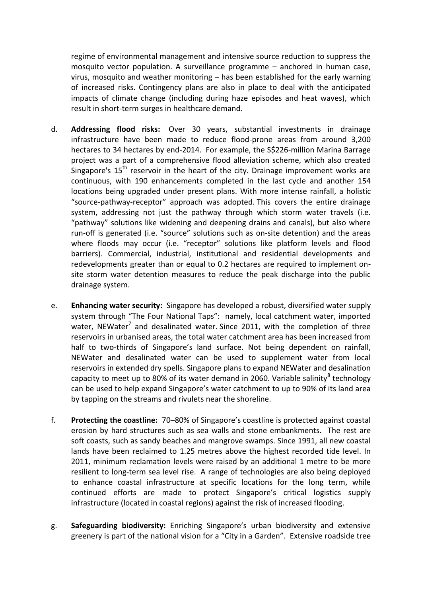regime of environmental management and intensive source reduction to suppress the mosquito vector population. A surveillance programme – anchored in human case, virus, mosquito and weather monitoring – has been established for the early warning of increased risks. Contingency plans are also in place to deal with the anticipated impacts of climate change (including during haze episodes and heat waves), which result in short-term surges in healthcare demand.

- d. **Addressing flood risks:** Over 30 years, substantial investments in drainage infrastructure have been made to reduce flood-prone areas from around 3,200 hectares to 34 hectares by end-2014. For example, the S\$226-million Marina Barrage project was a part of a comprehensive flood alleviation scheme, which also created Singapore's  $15<sup>th</sup>$  reservoir in the heart of the city. Drainage improvement works are continuous, with 190 enhancements completed in the last cycle and another 154 locations being upgraded under present plans. With more intense rainfall, a holistic "source-pathway-receptor" approach was adopted. This covers the entire drainage system, addressing not just the pathway through which storm water travels (i.e. "pathway" solutions like widening and deepening drains and canals), but also where run-off is generated (i.e. "source" solutions such as on-site detention) and the areas where floods may occur (i.e. "receptor" solutions like platform levels and flood barriers). Commercial, industrial, institutional and residential developments and redevelopments greater than or equal to 0.2 hectares are required to implement onsite storm water detention measures to reduce the peak discharge into the public drainage system.
- e. **Enhancing water security:** Singapore has developed a robust, diversified water supply system through "The Four National Taps": namely, local catchment water, imported water, NEWater<sup>7</sup> and desalinated water. Since 2011, with the completion of three reservoirs in urbanised areas, the total water catchment area has been increased from half to two-thirds of Singapore's land surface. Not being dependent on rainfall, NEWater and desalinated water can be used to supplement water from local reservoirs in extended dry spells. Singapore plans to expand NEWater and desalination capacity to meet up to 80% of its water demand in 2060. Variable salinity<sup>8</sup> technology can be used to help expand Singapore's water catchment to up to 90% of its land area by tapping on the streams and rivulets near the shoreline.
- f. **Protecting the coastline:** 70–80% of Singapore's coastline is protected against coastal erosion by hard structures such as sea walls and stone embankments. The rest are soft coasts, such as sandy beaches and mangrove swamps. Since 1991, all new coastal lands have been reclaimed to 1.25 metres above the highest recorded tide level. In 2011, minimum reclamation levels were raised by an additional 1 metre to be more resilient to long-term sea level rise. A range of technologies are also being deployed to enhance coastal infrastructure at specific locations for the long term, while continued efforts are made to protect Singapore's critical logistics supply infrastructure (located in coastal regions) against the risk of increased flooding.
- g. **Safeguarding biodiversity:** Enriching Singapore's urban biodiversity and extensive greenery is part of the national vision for a "City in a Garden". Extensive roadside tree